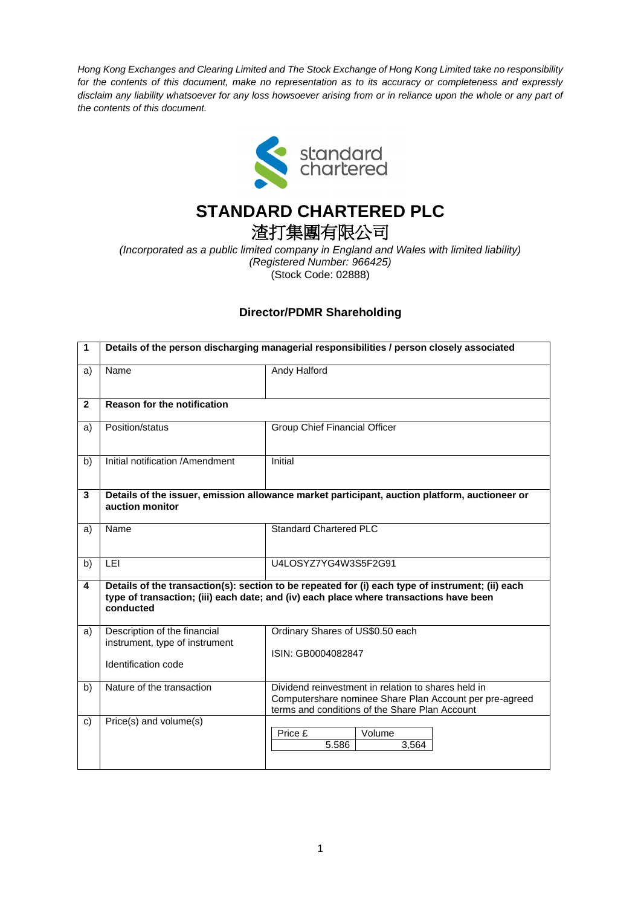*Hong Kong Exchanges and Clearing Limited and The Stock Exchange of Hong Kong Limited take no responsibility for the contents of this document, make no representation as to its accuracy or completeness and expressly disclaim any liability whatsoever for any loss howsoever arising from or in reliance upon the whole or any part of the contents of this document.*



## **STANDARD CHARTERED PLC**

## 渣打集團有限公司

*(Incorporated as a public limited company in England and Wales with limited liability) (Registered Number: 966425)* (Stock Code: 02888)

## **Director/PDMR Shareholding**

| $\mathbf{1}$   | Details of the person discharging managerial responsibilities / person closely associated                                                                                                               |                                                                                                                                                                  |  |
|----------------|---------------------------------------------------------------------------------------------------------------------------------------------------------------------------------------------------------|------------------------------------------------------------------------------------------------------------------------------------------------------------------|--|
| a)             | Name                                                                                                                                                                                                    | Andy Halford                                                                                                                                                     |  |
| $\overline{2}$ | <b>Reason for the notification</b>                                                                                                                                                                      |                                                                                                                                                                  |  |
| a)             | Position/status                                                                                                                                                                                         | Group Chief Financial Officer                                                                                                                                    |  |
| b)             | Initial notification /Amendment                                                                                                                                                                         | Initial                                                                                                                                                          |  |
| 3              | Details of the issuer, emission allowance market participant, auction platform, auctioneer or<br>auction monitor                                                                                        |                                                                                                                                                                  |  |
| a)             | Name                                                                                                                                                                                                    | Standard Chartered PLC                                                                                                                                           |  |
| b)             | <b>LEI</b>                                                                                                                                                                                              | U4LOSYZ7YG4W3S5F2G91                                                                                                                                             |  |
| 4              | Details of the transaction(s): section to be repeated for (i) each type of instrument; (ii) each<br>type of transaction; (iii) each date; and (iv) each place where transactions have been<br>conducted |                                                                                                                                                                  |  |
| a)             | Description of the financial<br>instrument, type of instrument<br>Identification code                                                                                                                   | Ordinary Shares of US\$0.50 each<br>ISIN: GB0004082847                                                                                                           |  |
| b)             | Nature of the transaction                                                                                                                                                                               | Dividend reinvestment in relation to shares held in<br>Computershare nominee Share Plan Account per pre-agreed<br>terms and conditions of the Share Plan Account |  |
| C)             | Price(s) and volume(s)                                                                                                                                                                                  | Volume<br>Price £<br>5.586<br>3,564                                                                                                                              |  |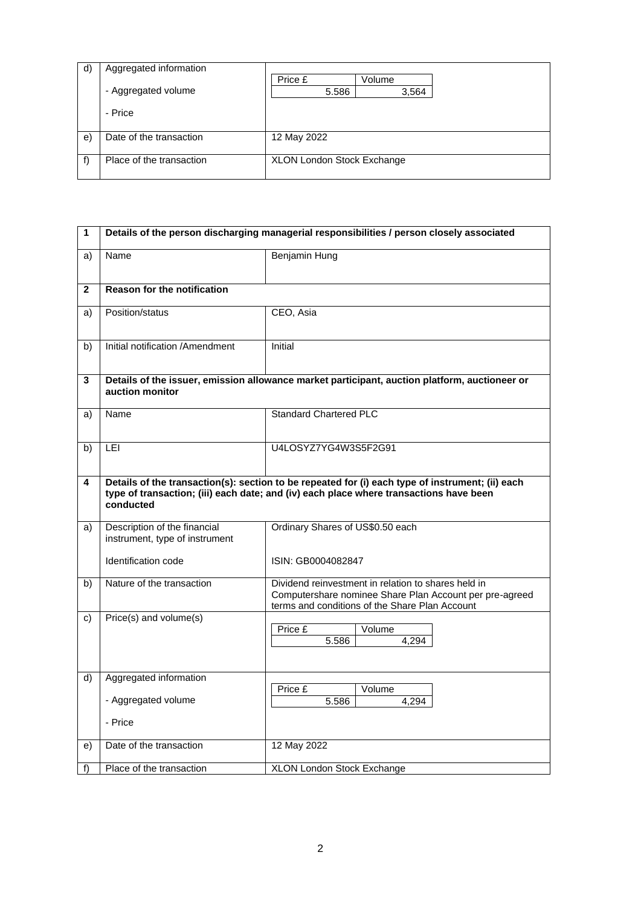| d) | Aggregated information   |                                   |        |  |
|----|--------------------------|-----------------------------------|--------|--|
|    |                          | Price £                           | Volume |  |
|    | - Aggregated volume      | 5.586                             | 3,564  |  |
|    | - Price                  |                                   |        |  |
| e) | Date of the transaction  | 12 May 2022                       |        |  |
| f  | Place of the transaction | <b>XLON London Stock Exchange</b> |        |  |

| 1            | Details of the person discharging managerial responsibilities / person closely associated                        |                                                                                                                                                                                            |
|--------------|------------------------------------------------------------------------------------------------------------------|--------------------------------------------------------------------------------------------------------------------------------------------------------------------------------------------|
| a)           | Name                                                                                                             | <b>Benjamin Hung</b>                                                                                                                                                                       |
| $\mathbf{2}$ | <b>Reason for the notification</b>                                                                               |                                                                                                                                                                                            |
| a)           | Position/status                                                                                                  | CEO, Asia                                                                                                                                                                                  |
| b)           | Initial notification /Amendment                                                                                  | Initial                                                                                                                                                                                    |
| 3            | Details of the issuer, emission allowance market participant, auction platform, auctioneer or<br>auction monitor |                                                                                                                                                                                            |
| a)           | Name                                                                                                             | <b>Standard Chartered PLC</b>                                                                                                                                                              |
| b)           | <b>LEI</b>                                                                                                       | U4LOSYZ7YG4W3S5F2G91                                                                                                                                                                       |
| 4            | conducted                                                                                                        | Details of the transaction(s): section to be repeated for (i) each type of instrument; (ii) each<br>type of transaction; (iii) each date; and (iv) each place where transactions have been |
| a)           | Description of the financial<br>instrument, type of instrument                                                   | Ordinary Shares of US\$0.50 each                                                                                                                                                           |
|              | Identification code                                                                                              | ISIN: GB0004082847                                                                                                                                                                         |
| b)           | Nature of the transaction                                                                                        | Dividend reinvestment in relation to shares held in<br>Computershare nominee Share Plan Account per pre-agreed<br>terms and conditions of the Share Plan Account                           |
| c)           | Price(s) and volume(s)                                                                                           | Price £<br>Volume<br>5.586<br>4,294                                                                                                                                                        |
| d)           | Aggregated information                                                                                           | Price £<br>Volume                                                                                                                                                                          |
|              | - Aggregated volume                                                                                              | 5.586<br>4.294                                                                                                                                                                             |
|              | - Price                                                                                                          |                                                                                                                                                                                            |
| e)           | Date of the transaction                                                                                          | 12 May 2022                                                                                                                                                                                |
| f)           | Place of the transaction                                                                                         | XLON London Stock Exchange                                                                                                                                                                 |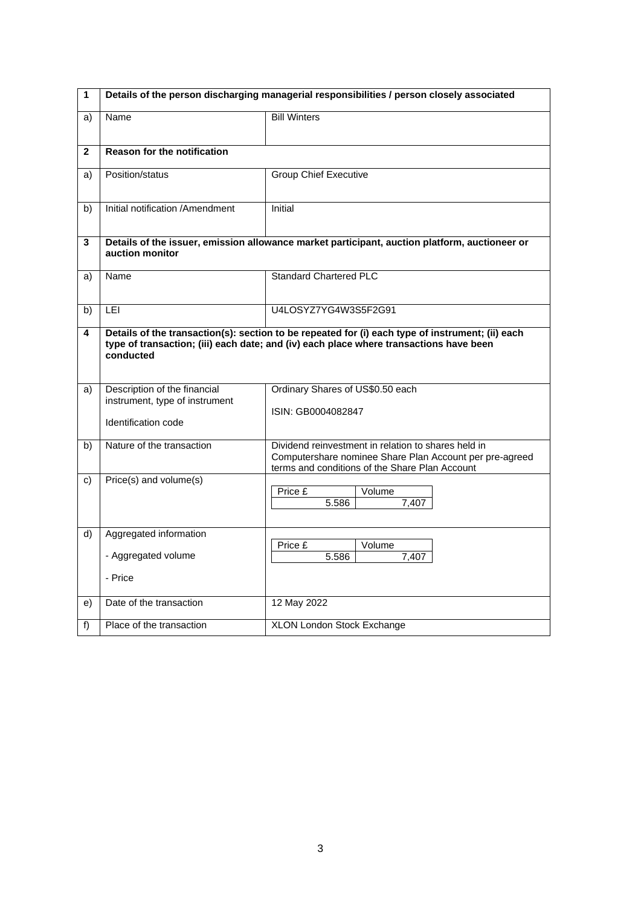| 1            | Details of the person discharging managerial responsibilities / person closely associated                        |                                                                                                                                                                                            |  |
|--------------|------------------------------------------------------------------------------------------------------------------|--------------------------------------------------------------------------------------------------------------------------------------------------------------------------------------------|--|
| a)           | Name                                                                                                             | <b>Bill Winters</b>                                                                                                                                                                        |  |
| $\mathbf{2}$ | <b>Reason for the notification</b>                                                                               |                                                                                                                                                                                            |  |
| a)           | Position/status                                                                                                  | <b>Group Chief Executive</b>                                                                                                                                                               |  |
| b)           | Initial notification /Amendment                                                                                  | <b>Initial</b>                                                                                                                                                                             |  |
| 3            | Details of the issuer, emission allowance market participant, auction platform, auctioneer or<br>auction monitor |                                                                                                                                                                                            |  |
| a)           | Name                                                                                                             | <b>Standard Chartered PLC</b>                                                                                                                                                              |  |
| b)           | LEI                                                                                                              | U4LOSYZ7YG4W3S5F2G91                                                                                                                                                                       |  |
| 4            | conducted                                                                                                        | Details of the transaction(s): section to be repeated for (i) each type of instrument; (ii) each<br>type of transaction; (iii) each date; and (iv) each place where transactions have been |  |
| a)           | Description of the financial<br>instrument, type of instrument<br>Identification code                            | Ordinary Shares of US\$0.50 each<br>ISIN: GB0004082847                                                                                                                                     |  |
| b)           | Nature of the transaction                                                                                        | Dividend reinvestment in relation to shares held in<br>Computershare nominee Share Plan Account per pre-agreed<br>terms and conditions of the Share Plan Account                           |  |
| C)           | Price(s) and volume(s)                                                                                           | Price £<br>Volume<br>5.586<br>7.407                                                                                                                                                        |  |
| d)           | Aggregated information<br>- Aggregated volume<br>- Price                                                         | Price £<br>Volume<br>5.586<br>7,407                                                                                                                                                        |  |
| e)           | Date of the transaction                                                                                          | 12 May 2022                                                                                                                                                                                |  |
| f)           | Place of the transaction                                                                                         | XLON London Stock Exchange                                                                                                                                                                 |  |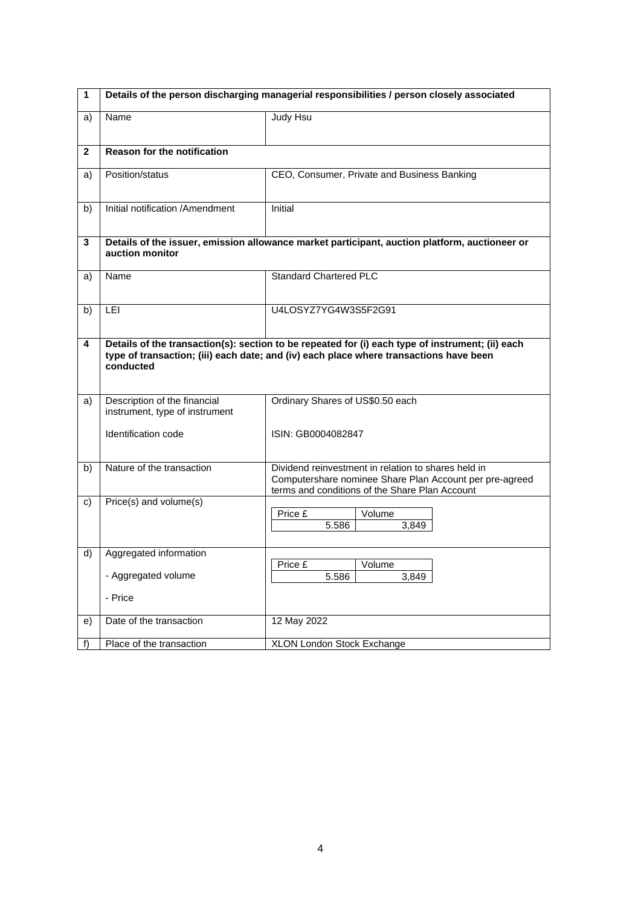| $\mathbf{1}$ | Details of the person discharging managerial responsibilities / person closely associated                        |                                                                                                                                                                                            |  |
|--------------|------------------------------------------------------------------------------------------------------------------|--------------------------------------------------------------------------------------------------------------------------------------------------------------------------------------------|--|
| a)           | Name                                                                                                             | <b>Judy Hsu</b>                                                                                                                                                                            |  |
| $\mathbf{2}$ | <b>Reason for the notification</b>                                                                               |                                                                                                                                                                                            |  |
| a)           | Position/status                                                                                                  | CEO, Consumer, Private and Business Banking                                                                                                                                                |  |
| b)           | Initial notification /Amendment                                                                                  | Initial                                                                                                                                                                                    |  |
| 3            | Details of the issuer, emission allowance market participant, auction platform, auctioneer or<br>auction monitor |                                                                                                                                                                                            |  |
| a)           | Name                                                                                                             | <b>Standard Chartered PLC</b>                                                                                                                                                              |  |
| b)           | LEI                                                                                                              | U4LOSYZ7YG4W3S5F2G91                                                                                                                                                                       |  |
| 4            | conducted                                                                                                        | Details of the transaction(s): section to be repeated for (i) each type of instrument; (ii) each<br>type of transaction; (iii) each date; and (iv) each place where transactions have been |  |
| a)           | Description of the financial<br>instrument, type of instrument                                                   | Ordinary Shares of US\$0.50 each                                                                                                                                                           |  |
|              | Identification code                                                                                              | ISIN: GB0004082847                                                                                                                                                                         |  |
| b)           | Nature of the transaction                                                                                        | Dividend reinvestment in relation to shares held in<br>Computershare nominee Share Plan Account per pre-agreed<br>terms and conditions of the Share Plan Account                           |  |
| C)           | Price(s) and volume(s)                                                                                           | Price £<br>Volume<br>5.586<br>3,849                                                                                                                                                        |  |
| d)           | Aggregated information<br>- Aggregated volume<br>- Price                                                         | Price £<br>Volume<br>5.586<br>3,849                                                                                                                                                        |  |
| e)           | Date of the transaction                                                                                          | 12 May 2022                                                                                                                                                                                |  |
| f)           | Place of the transaction                                                                                         | XLON London Stock Exchange                                                                                                                                                                 |  |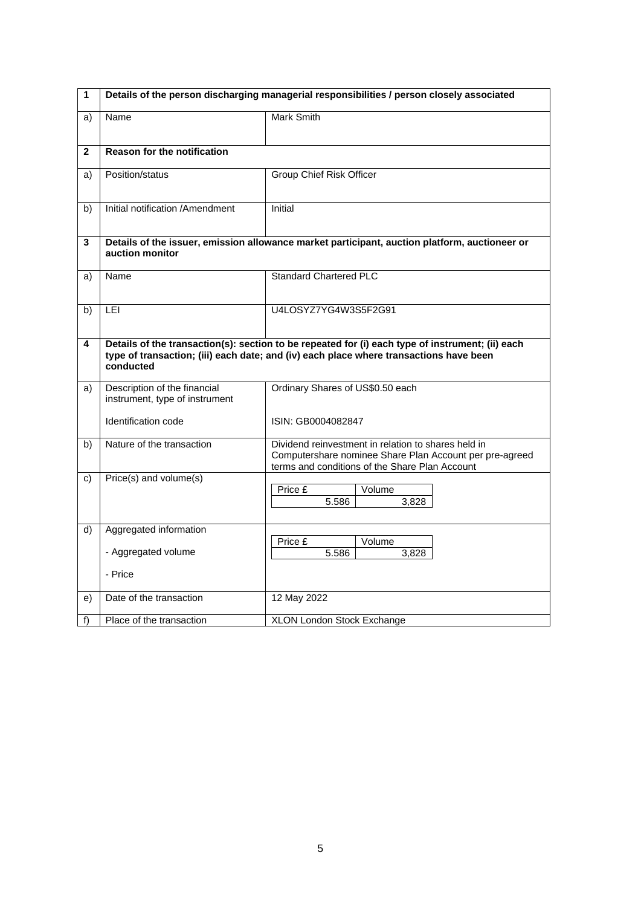| 1            | Details of the person discharging managerial responsibilities / person closely associated |                                                                                                                                                                                            |
|--------------|-------------------------------------------------------------------------------------------|--------------------------------------------------------------------------------------------------------------------------------------------------------------------------------------------|
| a)           | Name                                                                                      | <b>Mark Smith</b>                                                                                                                                                                          |
|              |                                                                                           |                                                                                                                                                                                            |
| $\mathbf{2}$ | <b>Reason for the notification</b>                                                        |                                                                                                                                                                                            |
| a)           | Position/status                                                                           | Group Chief Risk Officer                                                                                                                                                                   |
| b)           | Initial notification /Amendment                                                           | Initial                                                                                                                                                                                    |
| 3            | auction monitor                                                                           | Details of the issuer, emission allowance market participant, auction platform, auctioneer or                                                                                              |
| a)           | Name                                                                                      | <b>Standard Chartered PLC</b>                                                                                                                                                              |
| b)           | <b>LEI</b>                                                                                | U4LOSYZ7YG4W3S5F2G91                                                                                                                                                                       |
| 4            | conducted                                                                                 | Details of the transaction(s): section to be repeated for (i) each type of instrument; (ii) each<br>type of transaction; (iii) each date; and (iv) each place where transactions have been |
| a)           | Description of the financial<br>instrument, type of instrument                            | Ordinary Shares of US\$0.50 each                                                                                                                                                           |
|              | Identification code                                                                       | ISIN: GB0004082847                                                                                                                                                                         |
| b)           | Nature of the transaction                                                                 | Dividend reinvestment in relation to shares held in<br>Computershare nominee Share Plan Account per pre-agreed<br>terms and conditions of the Share Plan Account                           |
| C)           | Price(s) and volume(s)                                                                    | Price £<br>Volume<br>5.586<br>3,828                                                                                                                                                        |
| d)           | Aggregated information                                                                    |                                                                                                                                                                                            |
|              | - Aggregated volume                                                                       | Price £<br>Volume<br>5.586<br>3,828                                                                                                                                                        |
|              | - Price                                                                                   |                                                                                                                                                                                            |
| e)           | Date of the transaction                                                                   | 12 May 2022                                                                                                                                                                                |
| f)           | Place of the transaction                                                                  | XLON London Stock Exchange                                                                                                                                                                 |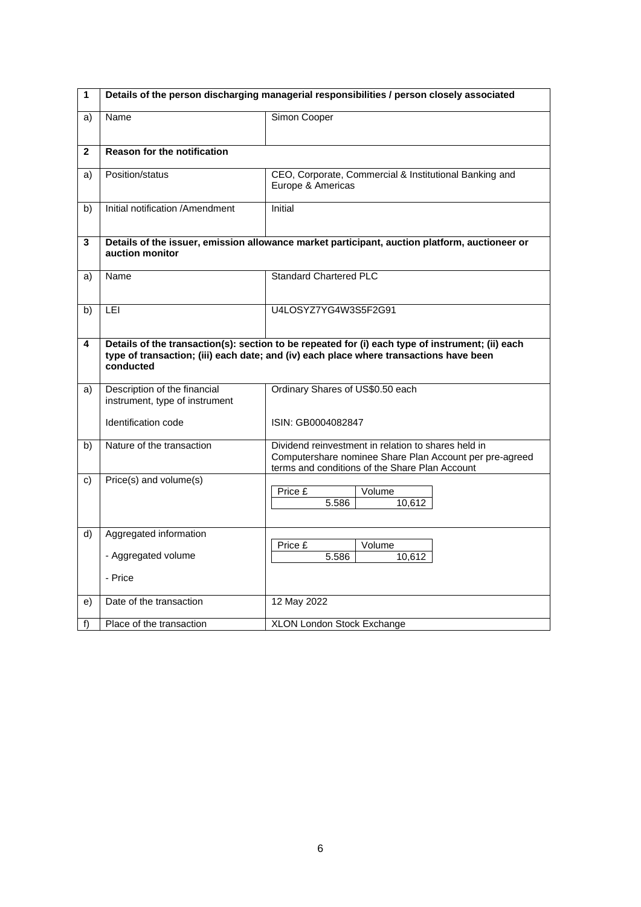| 1            | Details of the person discharging managerial responsibilities / person closely associated                        |                                                                                                                                                                                            |  |
|--------------|------------------------------------------------------------------------------------------------------------------|--------------------------------------------------------------------------------------------------------------------------------------------------------------------------------------------|--|
| a)           | Name                                                                                                             | Simon Cooper                                                                                                                                                                               |  |
| $\mathbf{2}$ | <b>Reason for the notification</b>                                                                               |                                                                                                                                                                                            |  |
| a)           | Position/status                                                                                                  | CEO, Corporate, Commercial & Institutional Banking and<br>Europe & Americas                                                                                                                |  |
| b)           | Initial notification /Amendment                                                                                  | Initial                                                                                                                                                                                    |  |
| 3            | Details of the issuer, emission allowance market participant, auction platform, auctioneer or<br>auction monitor |                                                                                                                                                                                            |  |
| a)           | Name                                                                                                             | <b>Standard Chartered PLC</b>                                                                                                                                                              |  |
| b)           | LEI                                                                                                              | U4LOSYZ7YG4W3S5F2G91                                                                                                                                                                       |  |
| 4            | conducted                                                                                                        | Details of the transaction(s): section to be repeated for (i) each type of instrument; (ii) each<br>type of transaction; (iii) each date; and (iv) each place where transactions have been |  |
| a)           | Description of the financial<br>instrument, type of instrument                                                   | Ordinary Shares of US\$0.50 each                                                                                                                                                           |  |
|              | Identification code                                                                                              | ISIN: GB0004082847                                                                                                                                                                         |  |
| b)           | Nature of the transaction                                                                                        | Dividend reinvestment in relation to shares held in<br>Computershare nominee Share Plan Account per pre-agreed<br>terms and conditions of the Share Plan Account                           |  |
| C)           | $Price(s)$ and volume $(s)$                                                                                      | Price $\overline{E}$<br>Volume<br>5.586<br>10,612                                                                                                                                          |  |
| d)           | Aggregated information                                                                                           | Price £<br>Volume                                                                                                                                                                          |  |
|              | - Aggregated volume                                                                                              | 5.586<br>10,612                                                                                                                                                                            |  |
|              | - Price                                                                                                          |                                                                                                                                                                                            |  |
| e)           | Date of the transaction                                                                                          | 12 May 2022                                                                                                                                                                                |  |
| f)           | Place of the transaction                                                                                         | XLON London Stock Exchange                                                                                                                                                                 |  |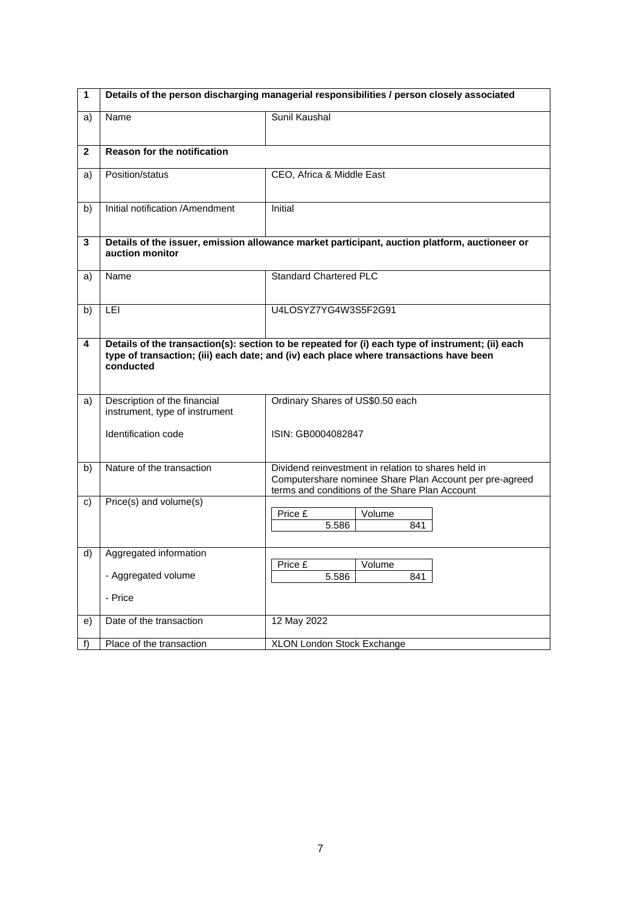| $\mathbf{1}$ | Details of the person discharging managerial responsibilities / person closely associated           |                                  |                                                                                                                                                                  |
|--------------|-----------------------------------------------------------------------------------------------------|----------------------------------|------------------------------------------------------------------------------------------------------------------------------------------------------------------|
| a)           | Name                                                                                                | <b>Sunil Kaushal</b>             |                                                                                                                                                                  |
| $\mathbf{2}$ | <b>Reason for the notification</b>                                                                  |                                  |                                                                                                                                                                  |
| a)           | Position/status                                                                                     | CEO, Africa & Middle East        |                                                                                                                                                                  |
| b)           | Initial notification /Amendment                                                                     | <b>Initial</b>                   |                                                                                                                                                                  |
| 3            | auction monitor                                                                                     |                                  | Details of the issuer, emission allowance market participant, auction platform, auctioneer or                                                                    |
| a)           | Name                                                                                                | <b>Standard Chartered PLC</b>    |                                                                                                                                                                  |
| b)           | LEI                                                                                                 | U4LOSYZ7YG4W3S5F2G91             |                                                                                                                                                                  |
| 4            | type of transaction; (iii) each date; and (iv) each place where transactions have been<br>conducted |                                  | Details of the transaction(s): section to be repeated for (i) each type of instrument; (ii) each                                                                 |
| a)           | Description of the financial<br>instrument, type of instrument                                      | Ordinary Shares of US\$0.50 each |                                                                                                                                                                  |
|              | Identification code                                                                                 | ISIN: GB0004082847               |                                                                                                                                                                  |
| b)           | Nature of the transaction                                                                           |                                  | Dividend reinvestment in relation to shares held in<br>Computershare nominee Share Plan Account per pre-agreed<br>terms and conditions of the Share Plan Account |
| C)           | Price(s) and volume(s)                                                                              | Price £<br>5.586                 | Volume<br>841                                                                                                                                                    |
| d)           | Aggregated information<br>- Aggregated volume                                                       | Price £<br>5.586                 | Volume<br>841                                                                                                                                                    |
|              | - Price                                                                                             |                                  |                                                                                                                                                                  |
| e)           | Date of the transaction                                                                             | 12 May 2022                      |                                                                                                                                                                  |
| f)           | Place of the transaction                                                                            | XLON London Stock Exchange       |                                                                                                                                                                  |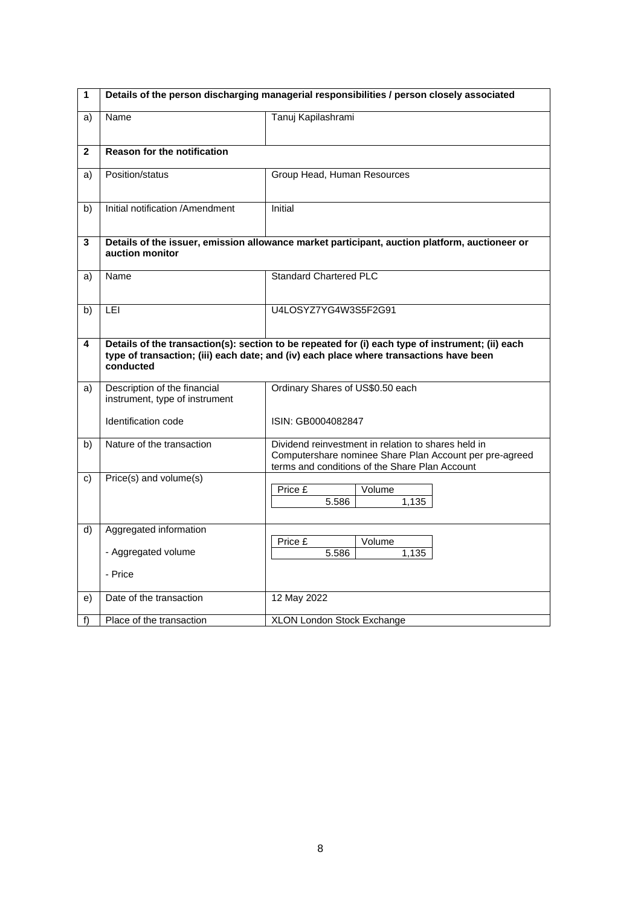| 1            | Details of the person discharging managerial responsibilities / person closely associated |                                                                                                                                                                                            |
|--------------|-------------------------------------------------------------------------------------------|--------------------------------------------------------------------------------------------------------------------------------------------------------------------------------------------|
| a)           | Name                                                                                      | Tanuj Kapilashrami                                                                                                                                                                         |
|              |                                                                                           |                                                                                                                                                                                            |
| $\mathbf{2}$ | <b>Reason for the notification</b>                                                        |                                                                                                                                                                                            |
| a)           | Position/status                                                                           | Group Head, Human Resources                                                                                                                                                                |
| b)           | Initial notification /Amendment                                                           | Initial                                                                                                                                                                                    |
| 3            | auction monitor                                                                           | Details of the issuer, emission allowance market participant, auction platform, auctioneer or                                                                                              |
| a)           | Name                                                                                      | <b>Standard Chartered PLC</b>                                                                                                                                                              |
| b)           | <b>LEI</b>                                                                                | U4LOSYZ7YG4W3S5F2G91                                                                                                                                                                       |
| 4            | conducted                                                                                 | Details of the transaction(s): section to be repeated for (i) each type of instrument; (ii) each<br>type of transaction; (iii) each date; and (iv) each place where transactions have been |
| a)           | Description of the financial<br>instrument, type of instrument                            | Ordinary Shares of US\$0.50 each                                                                                                                                                           |
|              | Identification code                                                                       | ISIN: GB0004082847                                                                                                                                                                         |
| b)           | Nature of the transaction                                                                 | Dividend reinvestment in relation to shares held in<br>Computershare nominee Share Plan Account per pre-agreed<br>terms and conditions of the Share Plan Account                           |
| C)           | Price(s) and volume(s)                                                                    | Price £<br>Volume<br>5.586<br>1.135                                                                                                                                                        |
| d)           | Aggregated information                                                                    |                                                                                                                                                                                            |
|              | - Aggregated volume                                                                       | Price £<br>Volume<br>5.586<br>1,135                                                                                                                                                        |
|              | - Price                                                                                   |                                                                                                                                                                                            |
| e)           | Date of the transaction                                                                   | 12 May 2022                                                                                                                                                                                |
| f)           | Place of the transaction                                                                  | XLON London Stock Exchange                                                                                                                                                                 |